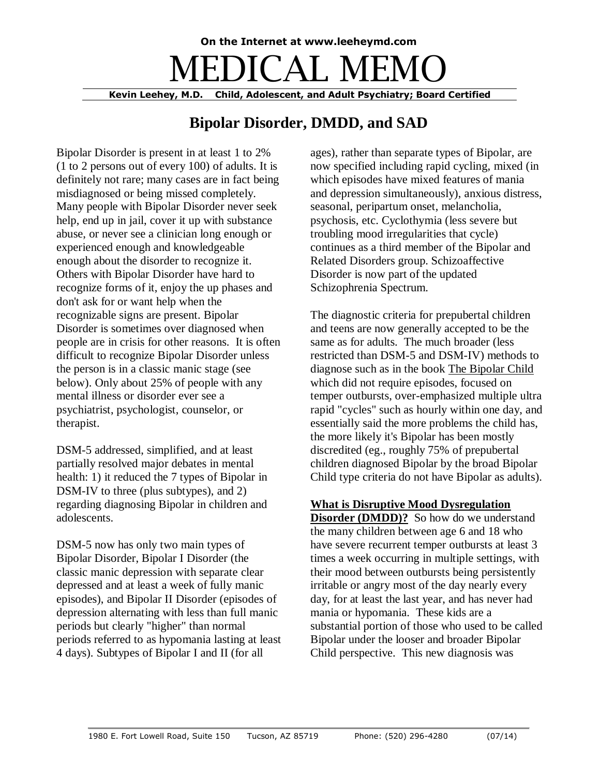# **On the Internet at www.leeheymd.com** DICAL ME **Kevin Leehey, M.D. Child, Adolescent, and Adult Psychiatry; Board Certified**

## **Bipolar Disorder, DMDD, and SAD**

Bipolar Disorder is present in at least 1 to 2% (1 to 2 persons out of every 100) of adults. It is definitely not rare; many cases are in fact being misdiagnosed or being missed completely. Many people with Bipolar Disorder never seek help, end up in jail, cover it up with substance abuse, or never see a clinician long enough or experienced enough and knowledgeable enough about the disorder to recognize it. Others with Bipolar Disorder have hard to recognize forms of it, enjoy the up phases and don't ask for or want help when the recognizable signs are present. Bipolar Disorder is sometimes over diagnosed when people are in crisis for other reasons. It is often difficult to recognize Bipolar Disorder unless the person is in a classic manic stage (see below). Only about 25% of people with any mental illness or disorder ever see a psychiatrist, psychologist, counselor, or therapist.

DSM-5 addressed, simplified, and at least partially resolved major debates in mental health: 1) it reduced the 7 types of Bipolar in DSM-IV to three (plus subtypes), and 2) regarding diagnosing Bipolar in children and adolescents.

DSM-5 now has only two main types of Bipolar Disorder, Bipolar I Disorder (the classic manic depression with separate clear depressed and at least a week of fully manic episodes), and Bipolar II Disorder (episodes of depression alternating with less than full manic periods but clearly "higher" than normal periods referred to as hypomania lasting at least 4 days). Subtypes of Bipolar I and II (for all

ages), rather than separate types of Bipolar, are now specified including rapid cycling, mixed (in which episodes have mixed features of mania and depression simultaneously), anxious distress, seasonal, peripartum onset, melancholia, psychosis, etc. Cyclothymia (less severe but troubling mood irregularities that cycle) continues as a third member of the Bipolar and Related Disorders group. Schizoaffective Disorder is now part of the updated Schizophrenia Spectrum.

The diagnostic criteria for prepubertal children and teens are now generally accepted to be the same as for adults. The much broader (less restricted than DSM-5 and DSM-IV) methods to diagnose such as in the book The Bipolar Child which did not require episodes, focused on temper outbursts, over-emphasized multiple ultra rapid "cycles" such as hourly within one day, and essentially said the more problems the child has, the more likely it's Bipolar has been mostly discredited (eg., roughly 75% of prepubertal children diagnosed Bipolar by the broad Bipolar Child type criteria do not have Bipolar as adults).

#### **What is Disruptive Mood Dysregulation**

**Disorder (DMDD)?** So how do we understand the many children between age 6 and 18 who have severe recurrent temper outbursts at least 3 times a week occurring in multiple settings, with their mood between outbursts being persistently irritable or angry most of the day nearly every day, for at least the last year, and has never had mania or hypomania. These kids are a substantial portion of those who used to be called Bipolar under the looser and broader Bipolar Child perspective. This new diagnosis was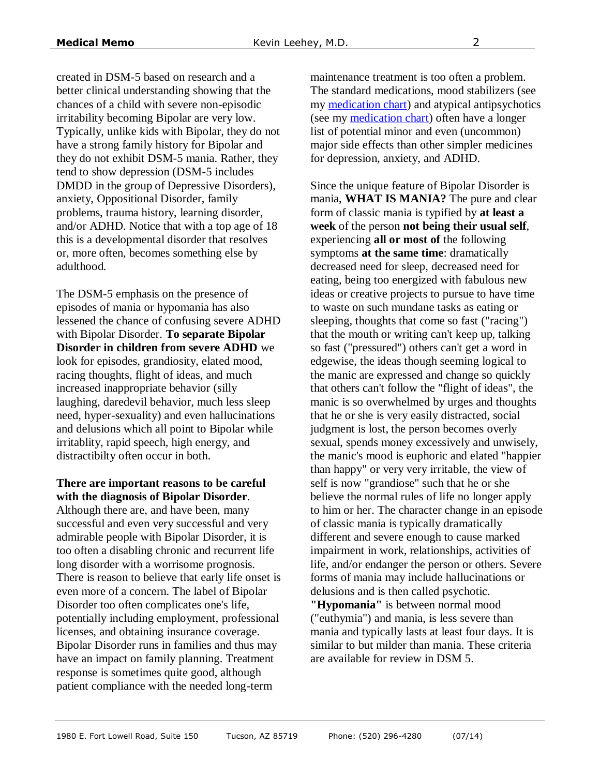created in DSM-5 based on research and a better clinical understanding showing that the chances of a child with severe non-episodic irritability becoming Bipolar are very low. Typically, unlike kids with Bipolar, they do not have a strong family history for Bipolar and they do not exhibit DSM-5 mania. Rather, they tend to show depression (DSM-5 includes DMDD in the group of Depressive Disorders), anxiety, Oppositional Disorder, family problems, trauma history, learning disorder, and/or ADHD. Notice that with a top age of 18 this is a developmental disorder that resolves or, more often, becomes something else by adulthood.

The DSM-5 emphasis on the presence of episodes of mania or hypomania has also lessened the chance of confusing severe ADHD with Bipolar Disorder. **To separate Bipolar Disorder in children from severe ADHD** we look for episodes, grandiosity, elated mood, racing thoughts, flight of ideas, and much increased inappropriate behavior (silly laughing, daredevil behavior, much less sleep need, hyper-sexuality) and even hallucinations and delusions which all point to Bipolar while irritablity, rapid speech, high energy, and distractibilty often occur in both.

#### **There are important reasons to be careful with the diagnosis of Bipolar Disorder**.

Although there are, and have been, many successful and even very successful and very admirable people with Bipolar Disorder, it is too often a disabling chronic and recurrent life long disorder with a worrisome prognosis. There is reason to believe that early life onset is even more of a concern. The label of Bipolar Disorder too often complicates one's life, potentially including employment, professional licenses, and obtaining insurance coverage. Bipolar Disorder runs in families and thus may have an impact on family planning. Treatment response is sometimes quite good, although patient compliance with the needed long-term

maintenance treatment is too often a problem. The standard medications, mood stabilizers (see my [medication chart\)](http://leeheymd.com/charts/dep4.html) and atypical antipsychotics (see my [medication chart\)](http://www.leeheymd.com/charts/atyps1.html) often have a longer list of potential minor and even (uncommon) major side effects than other simpler medicines for depression, anxiety, and ADHD.

Since the unique feature of Bipolar Disorder is mania, **WHAT IS MANIA?** The pure and clear form of classic mania is typified by **at least a week** of the person **not being their usual self**, experiencing **all or most of** the following symptoms **at the same time**: dramatically decreased need for sleep, decreased need for eating, being too energized with fabulous new ideas or creative projects to pursue to have time to waste on such mundane tasks as eating or sleeping, thoughts that come so fast ("racing") that the mouth or writing can't keep up, talking so fast ("pressured") others can't get a word in edgewise, the ideas though seeming logical to the manic are expressed and change so quickly that others can't follow the "flight of ideas", the manic is so overwhelmed by urges and thoughts that he or she is very easily distracted, social judgment is lost, the person becomes overly sexual, spends money excessively and unwisely, the manic's mood is euphoric and elated "happier than happy" or very very irritable, the view of self is now "grandiose" such that he or she believe the normal rules of life no longer apply to him or her. The character change in an episode of classic mania is typically dramatically different and severe enough to cause marked impairment in work, relationships, activities of life, and/or endanger the person or others. Severe forms of mania may include hallucinations or delusions and is then called psychotic. **"Hypomania"** is between normal mood ("euthymia") and mania, is less severe than mania and typically lasts at least four days. It is similar to but milder than mania. These criteria

are available for review in DSM 5.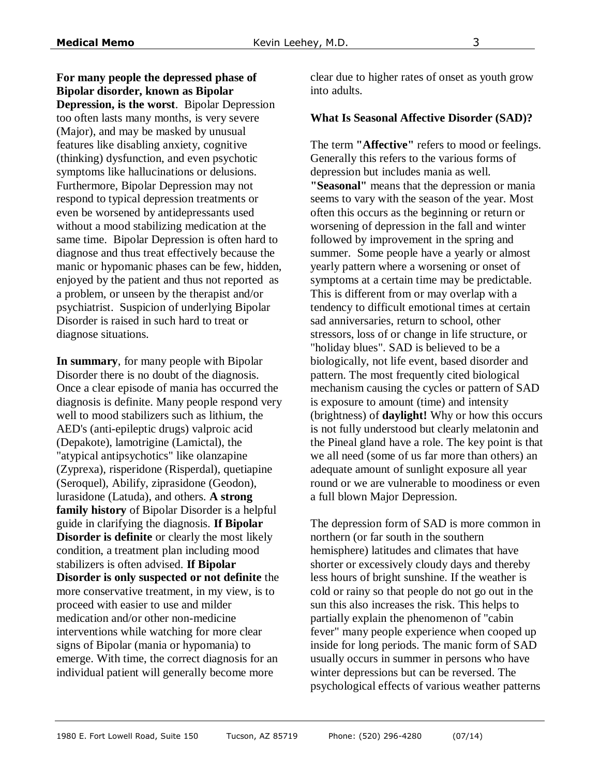**For many people the depressed phase of Bipolar disorder, known as Bipolar Depression, is the worst**. Bipolar Depression too often lasts many months, is very severe (Major), and may be masked by unusual features like disabling anxiety, cognitive (thinking) dysfunction, and even psychotic symptoms like hallucinations or delusions. Furthermore, Bipolar Depression may not respond to typical depression treatments or even be worsened by antidepressants used without a mood stabilizing medication at the same time. Bipolar Depression is often hard to diagnose and thus treat effectively because the manic or hypomanic phases can be few, hidden, enjoyed by the patient and thus not reported as a problem, or unseen by the therapist and/or psychiatrist. Suspicion of underlying Bipolar Disorder is raised in such hard to treat or diagnose situations.

**In summary**, for many people with Bipolar Disorder there is no doubt of the diagnosis. Once a clear episode of mania has occurred the diagnosis is definite. Many people respond very well to mood stabilizers such as lithium, the AED's (anti-epileptic drugs) valproic acid (Depakote), lamotrigine (Lamictal), the "atypical antipsychotics" like olanzapine (Zyprexa), risperidone (Risperdal), quetiapine (Seroquel), Abilify, ziprasidone (Geodon), lurasidone (Latuda), and others. **A strong family history** of Bipolar Disorder is a helpful guide in clarifying the diagnosis. **If Bipolar Disorder is definite** or clearly the most likely condition, a treatment plan including mood stabilizers is often advised. **If Bipolar Disorder is only suspected or not definite** the more conservative treatment, in my view, is to proceed with easier to use and milder medication and/or other non-medicine interventions while watching for more clear signs of Bipolar (mania or hypomania) to emerge. With time, the correct diagnosis for an individual patient will generally become more

clear due to higher rates of onset as youth grow into adults.

#### **What Is Seasonal Affective Disorder (SAD)?**

The term **"Affective"** refers to mood or feelings. Generally this refers to the various forms of depression but includes mania as well. **"Seasonal"** means that the depression or mania seems to vary with the season of the year. Most often this occurs as the beginning or return or worsening of depression in the fall and winter followed by improvement in the spring and summer. Some people have a yearly or almost yearly pattern where a worsening or onset of symptoms at a certain time may be predictable. This is different from or may overlap with a tendency to difficult emotional times at certain sad anniversaries, return to school, other stressors, loss of or change in life structure, or "holiday blues". SAD is believed to be a biologically, not life event, based disorder and pattern. The most frequently cited biological mechanism causing the cycles or pattern of SAD is exposure to amount (time) and intensity (brightness) of **daylight!** Why or how this occurs is not fully understood but clearly melatonin and the Pineal gland have a role. The key point is that we all need (some of us far more than others) an adequate amount of sunlight exposure all year round or we are vulnerable to moodiness or even a full blown Major Depression.

The depression form of SAD is more common in northern (or far south in the southern hemisphere) latitudes and climates that have shorter or excessively cloudy days and thereby less hours of bright sunshine. If the weather is cold or rainy so that people do not go out in the sun this also increases the risk. This helps to partially explain the phenomenon of "cabin fever" many people experience when cooped up inside for long periods. The manic form of SAD usually occurs in summer in persons who have winter depressions but can be reversed. The psychological effects of various weather patterns